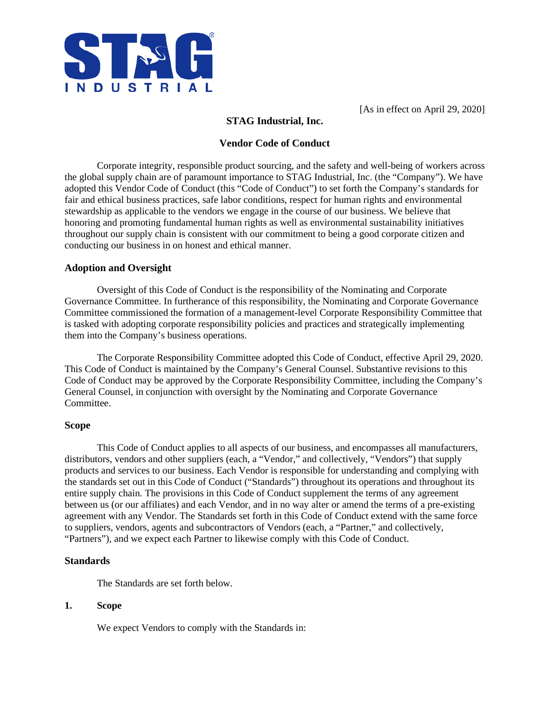

[As in effect on April 29, 2020]

# **STAG Industrial, Inc.**

# **Vendor Code of Conduct**

Corporate integrity, responsible product sourcing, and the safety and well-being of workers across the global supply chain are of paramount importance to STAG Industrial, Inc. (the "Company"). We have adopted this Vendor Code of Conduct (this "Code of Conduct") to set forth the Company's standards for fair and ethical business practices, safe labor conditions, respect for human rights and environmental stewardship as applicable to the vendors we engage in the course of our business. We believe that honoring and promoting fundamental human rights as well as environmental sustainability initiatives throughout our supply chain is consistent with our commitment to being a good corporate citizen and conducting our business in on honest and ethical manner.

### **Adoption and Oversight**

Oversight of this Code of Conduct is the responsibility of the Nominating and Corporate Governance Committee. In furtherance of this responsibility, the Nominating and Corporate Governance Committee commissioned the formation of a management-level Corporate Responsibility Committee that is tasked with adopting corporate responsibility policies and practices and strategically implementing them into the Company's business operations.

The Corporate Responsibility Committee adopted this Code of Conduct, effective April 29, 2020. This Code of Conduct is maintained by the Company's General Counsel. Substantive revisions to this Code of Conduct may be approved by the Corporate Responsibility Committee, including the Company's General Counsel, in conjunction with oversight by the Nominating and Corporate Governance Committee.

### **Scope**

This Code of Conduct applies to all aspects of our business, and encompasses all manufacturers, distributors, vendors and other suppliers (each, a "Vendor," and collectively, "Vendors") that supply products and services to our business. Each Vendor is responsible for understanding and complying with the standards set out in this Code of Conduct ("Standards") throughout its operations and throughout its entire supply chain. The provisions in this Code of Conduct supplement the terms of any agreement between us (or our affiliates) and each Vendor, and in no way alter or amend the terms of a pre-existing agreement with any Vendor. The Standards set forth in this Code of Conduct extend with the same force to suppliers, vendors, agents and subcontractors of Vendors (each, a "Partner," and collectively, "Partners"), and we expect each Partner to likewise comply with this Code of Conduct.

### **Standards**

The Standards are set forth below.

### **1. Scope**

We expect Vendors to comply with the Standards in: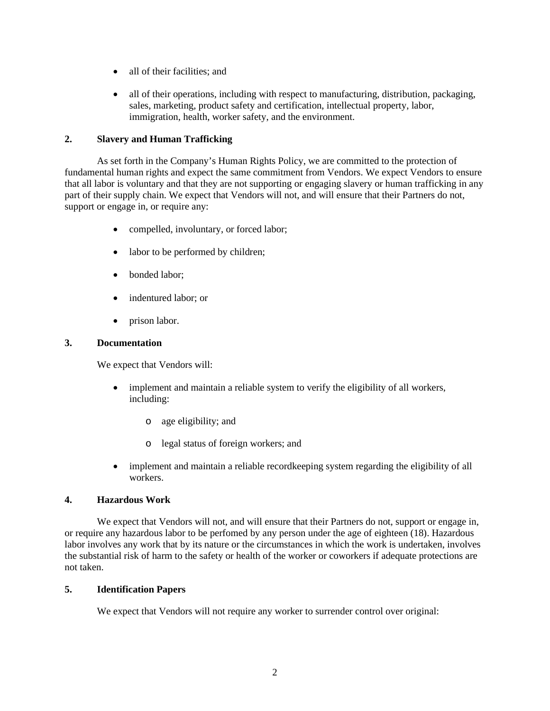- all of their facilities; and
- all of their operations, including with respect to manufacturing, distribution, packaging, sales, marketing, product safety and certification, intellectual property, labor, immigration, health, worker safety, and the environment.

# **2. Slavery and Human Trafficking**

As set forth in the Company's Human Rights Policy, we are committed to the protection of fundamental human rights and expect the same commitment from Vendors. We expect Vendors to ensure that all labor is voluntary and that they are not supporting or engaging slavery or human trafficking in any part of their supply chain. We expect that Vendors will not, and will ensure that their Partners do not, support or engage in, or require any:

- compelled, involuntary, or forced labor;
- labor to be performed by children;
- bonded labor:
- indentured labor: or
- prison labor.

### **3. Documentation**

We expect that Vendors will:

- implement and maintain a reliable system to verify the eligibility of all workers, including:
	- o age eligibility; and
	- o legal status of foreign workers; and
- implement and maintain a reliable record keeping system regarding the eligibility of all workers.

## **4. Hazardous Work**

We expect that Vendors will not, and will ensure that their Partners do not, support or engage in, or require any hazardous labor to be perfomed by any person under the age of eighteen (18). Hazardous labor involves any work that by its nature or the circumstances in which the work is undertaken, involves the substantial risk of harm to the safety or health of the worker or coworkers if adequate protections are not taken.

### **5. Identification Papers**

We expect that Vendors will not require any worker to surrender control over original: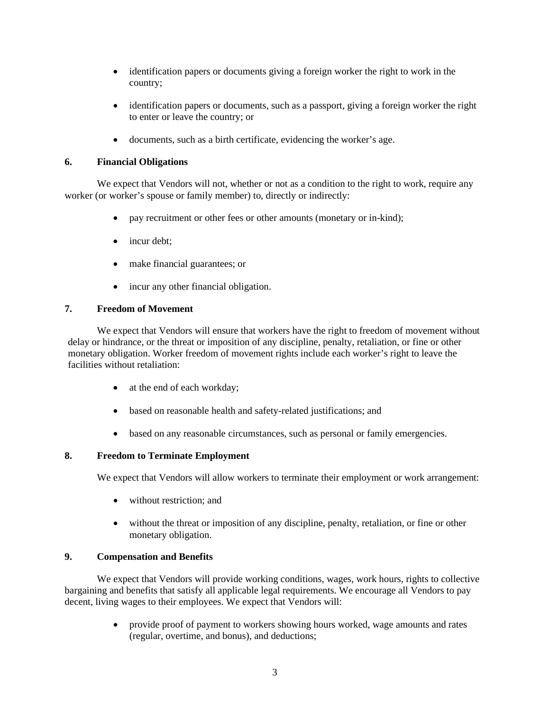- identification papers or documents giving a foreign worker the right to work in the country;
- identification papers or documents, such as a passport, giving a foreign worker the right to enter or leave the country; or
- documents, such as a birth certificate, evidencing the worker's age.

# **6. Financial Obligations**

We expect that Vendors will not, whether or not as a condition to the right to work, require any worker (or worker's spouse or family member) to, directly or indirectly:

- pay recruitment or other fees or other amounts (monetary or in-kind);
- incur debt;
- make financial guarantees; or
- incur any other financial obligation.

# **7. Freedom of Movement**

We expect that Vendors will ensure that workers have the right to freedom of movement without delay or hindrance, or the threat or imposition of any discipline, penalty, retaliation, or fine or other monetary obligation. Worker freedom of movement rights include each worker's right to leave the facilities without retaliation:

- at the end of each workday;
- based on reasonable health and safety-related justifications; and
- based on any reasonable circumstances, such as personal or family emergencies.

### **8. Freedom to Terminate Employment**

We expect that Vendors will allow workers to terminate their employment or work arrangement:

- without restriction; and
- without the threat or imposition of any discipline, penalty, retaliation, or fine or other monetary obligation.

### **9. Compensation and Benefits**

We expect that Vendors will provide working conditions, wages, work hours, rights to collective bargaining and benefits that satisfy all applicable legal requirements. We encourage all Vendors to pay decent, living wages to their employees. We expect that Vendors will:

> • provide proof of payment to workers showing hours worked, wage amounts and rates (regular, overtime, and bonus), and deductions;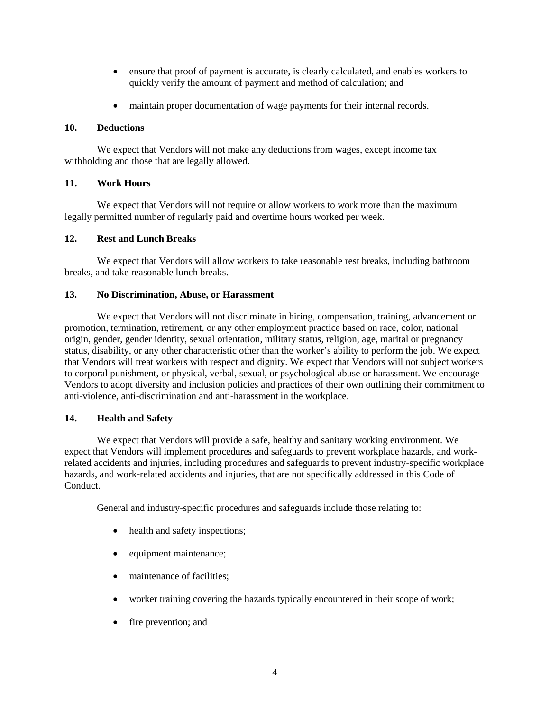- ensure that proof of payment is accurate, is clearly calculated, and enables workers to quickly verify the amount of payment and method of calculation; and
- maintain proper documentation of wage payments for their internal records.

#### **10. Deductions**

We expect that Vendors will not make any deductions from wages, except income tax withholding and those that are legally allowed.

# **11. Work Hours**

We expect that Vendors will not require or allow workers to work more than the maximum legally permitted number of regularly paid and overtime hours worked per week.

### **12. Rest and Lunch Breaks**

We expect that Vendors will allow workers to take reasonable rest breaks, including bathroom breaks, and take reasonable lunch breaks.

#### **13. No Discrimination, Abuse, or Harassment**

We expect that Vendors will not discriminate in hiring, compensation, training, advancement or promotion, termination, retirement, or any other employment practice based on race, color, national origin, gender, gender identity, sexual orientation, military status, religion, age, marital or pregnancy status, disability, or any other characteristic other than the worker's ability to perform the job. We expect that Vendors will treat workers with respect and dignity. We expect that Vendors will not subject workers to corporal punishment, or physical, verbal, sexual, or psychological abuse or harassment. We encourage Vendors to adopt diversity and inclusion policies and practices of their own outlining their commitment to anti-violence, anti-discrimination and anti-harassment in the workplace.

### **14. Health and Safety**

We expect that Vendors will provide a safe, healthy and sanitary working environment. We expect that Vendors will implement procedures and safeguards to prevent workplace hazards, and workrelated accidents and injuries, including procedures and safeguards to prevent industry-specific workplace hazards, and work-related accidents and injuries, that are not specifically addressed in this Code of Conduct.

General and industry-specific procedures and safeguards include those relating to:

- health and safety inspections;
- equipment maintenance;
- maintenance of facilities:
- worker training covering the hazards typically encountered in their scope of work;
- fire prevention; and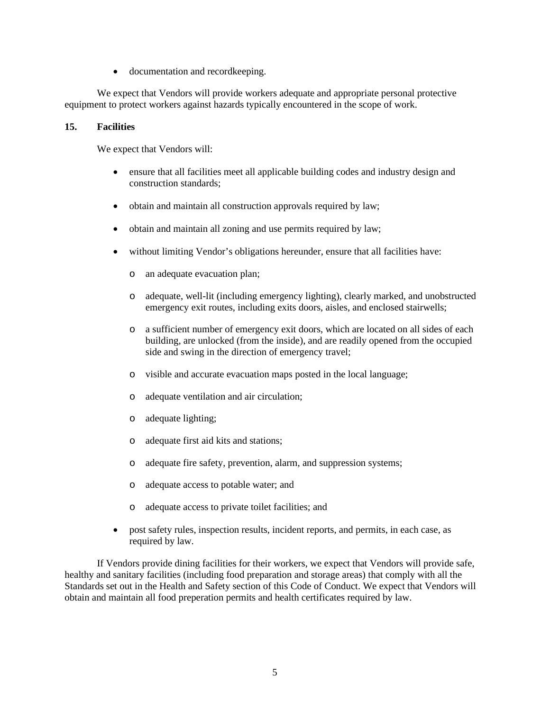• documentation and record keeping.

We expect that Vendors will provide workers adequate and appropriate personal protective equipment to protect workers against hazards typically encountered in the scope of work.

## **15. Facilities**

We expect that Vendors will:

- ensure that all facilities meet all applicable building codes and industry design and construction standards;
- obtain and maintain all construction approvals required by law;
- obtain and maintain all zoning and use permits required by law;
- without limiting Vendor's obligations hereunder, ensure that all facilities have:
	- o an adequate evacuation plan;
	- o adequate, well-lit (including emergency lighting), clearly marked, and unobstructed emergency exit routes, including exits doors, aisles, and enclosed stairwells;
	- o a sufficient number of emergency exit doors, which are located on all sides of each building, are unlocked (from the inside), and are readily opened from the occupied side and swing in the direction of emergency travel;
	- o visible and accurate evacuation maps posted in the local language;
	- o adequate ventilation and air circulation;
	- o adequate lighting;
	- o adequate first aid kits and stations;
	- o adequate fire safety, prevention, alarm, and suppression systems;
	- o adequate access to potable water; and
	- o adequate access to private toilet facilities; and
- post safety rules, inspection results, incident reports, and permits, in each case, as required by law.

If Vendors provide dining facilities for their workers, we expect that Vendors will provide safe, healthy and sanitary facilities (including food preparation and storage areas) that comply with all the Standards set out in the Health and Safety section of this Code of Conduct. We expect that Vendors will obtain and maintain all food preperation permits and health certificates required by law.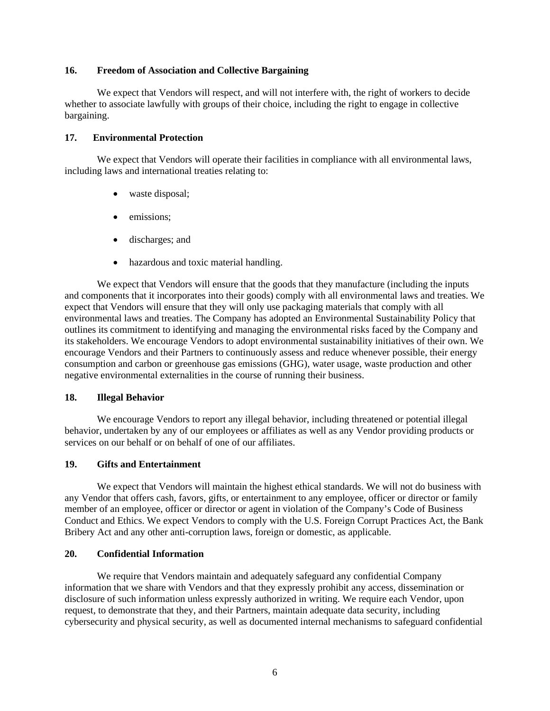#### **16. Freedom of Association and Collective Bargaining**

We expect that Vendors will respect, and will not interfere with, the right of workers to decide whether to associate lawfully with groups of their choice, including the right to engage in collective bargaining.

### **17. Environmental Protection**

We expect that Vendors will operate their facilities in compliance with all environmental laws, including laws and international treaties relating to:

- waste disposal;
- emissions;
- discharges; and
- hazardous and toxic material handling.

We expect that Vendors will ensure that the goods that they manufacture (including the inputs and components that it incorporates into their goods) comply with all environmental laws and treaties. We expect that Vendors will ensure that they will only use packaging materials that comply with all environmental laws and treaties. The Company has adopted an Environmental Sustainability Policy that outlines its commitment to identifying and managing the environmental risks faced by the Company and its stakeholders. We encourage Vendors to adopt environmental sustainability initiatives of their own. We encourage Vendors and their Partners to continuously assess and reduce whenever possible, their energy consumption and carbon or greenhouse gas emissions (GHG), water usage, waste production and other negative environmental externalities in the course of running their business.

### **18. Illegal Behavior**

We encourage Vendors to report any illegal behavior, including threatened or potential illegal behavior, undertaken by any of our employees or affiliates as well as any Vendor providing products or services on our behalf or on behalf of one of our affiliates.

### **19. Gifts and Entertainment**

We expect that Vendors will maintain the highest ethical standards. We will not do business with any Vendor that offers cash, favors, gifts, or entertainment to any employee, officer or director or family member of an employee, officer or director or agent in violation of the Company's Code of Business Conduct and Ethics. We expect Vendors to comply with the U.S. Foreign Corrupt Practices Act, the Bank Bribery Act and any other anti-corruption laws, foreign or domestic, as applicable.

# **20. Confidential Information**

We require that Vendors maintain and adequately safeguard any confidential Company information that we share with Vendors and that they expressly prohibit any access, dissemination or disclosure of such information unless expressly authorized in writing. We require each Vendor, upon request, to demonstrate that they, and their Partners, maintain adequate data security, including cybersecurity and physical security, as well as documented internal mechanisms to safeguard confidential